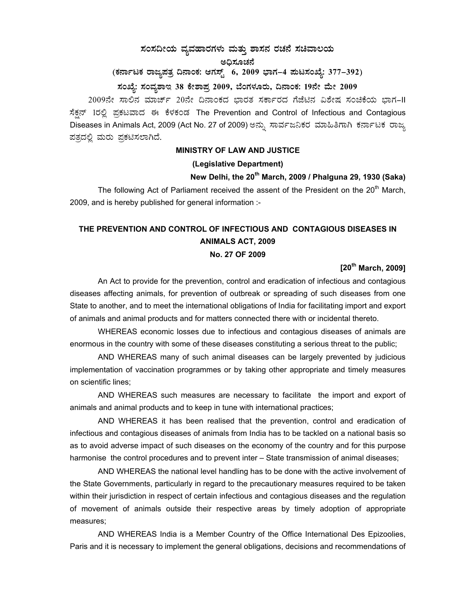# $\,$ ಸಂಸದೀಯ ವ್ಯವಹಾರಗಳು ಮತ್ತು ಶಾಸನ ರಚನೆ ಸಚಿವಾಲಯ

ಅಧಿಸೂಚನೆ

# (ಕರ್ನಾಟಕ ರಾಜ್ಯಪತ್ರ ದಿನಾಂಕ: ಆಗಸ್ಟ್ <sup>`</sup> 6, 2009 ಭಾಗ–4 **ಮಟಸಂಖ್ಯೆ: 377–392**)

# ಸಂಖ್ಯೆ: ಸಂವ್ಯಶಾಇ 38 ಕೇಶಾಪ್ರ 2009, ಬೆಂಗಳೂರು, ದಿನಾಂಕ: 19ನೇ ಮೇ 2009

2009ನೇ ಸಾಲಿನ ಮಾರ್ಚ್ 20ನೇ ದಿನಾಂಕದ ಬಾರತ ಸರ್ಕಾರದ ಗೆಜೆಟಿನ ವಿಶೇಷ ಸಂಚಿಕೆಯ ಬಾಗ–II ಸೆಕ್ಷನ್ 1ರಲ್ಲಿ ಪ್ರಕಟವಾದ ಈ ಕೆಳಕಂಡ The Prevention and Control of Infectious and Contagious Diseases in Animals Act, 2009 (Act No. 27 of 2009) ಅನ್ಸು ಸಾರ್ವಜನಿಕರ ಮಾಹಿತಿಗಾಗಿ ಕರ್ನಾಟಕ ರಾಜ್ಯ ಪತ್ರದಲ್ಲಿ ಮರು ಪ್ರಕಟಿಸಲಾಗಿದೆ.

# **MINISTRY OF LAW AND JUSTICE**

#### **(Legislative Department)**

# **New Delhi, the 20th March, 2009 / Phalguna 29, 1930 (Saka)**

The following Act of Parliament received the assent of the President on the 20<sup>th</sup> March, 2009, and is hereby published for general information :-

# **THE PREVENTION AND CONTROL OF INFECTIOUS AND CONTAGIOUS DISEASES IN ANIMALS ACT, 2009**

# **No. 27 OF 2009**

# **[20th March, 2009]**

An Act to provide for the prevention, control and eradication of infectious and contagious diseases affecting animals, for prevention of outbreak or spreading of such diseases from one State to another, and to meet the international obligations of India for facilitating import and export of animals and animal products and for matters connected there with or incidental thereto.

WHEREAS economic losses due to infectious and contagious diseases of animals are enormous in the country with some of these diseases constituting a serious threat to the public;

AND WHEREAS many of such animal diseases can be largely prevented by judicious implementation of vaccination programmes or by taking other appropriate and timely measures on scientific lines;

AND WHEREAS such measures are necessary to facilitate the import and export of animals and animal products and to keep in tune with international practices;

AND WHEREAS it has been realised that the prevention, control and eradication of infectious and contagious diseases of animals from India has to be tackled on a national basis so as to avoid adverse impact of such diseases on the economy of the country and for this purpose harmonise the control procedures and to prevent inter – State transmission of animal diseases;

AND WHEREAS the national level handling has to be done with the active involvement of the State Governments, particularly in regard to the precautionary measures required to be taken within their jurisdiction in respect of certain infectious and contagious diseases and the regulation of movement of animals outside their respective areas by timely adoption of appropriate measures;

 AND WHEREAS India is a Member Country of the Office International Des Epizoolies, Paris and it is necessary to implement the general obligations, decisions and recommendations of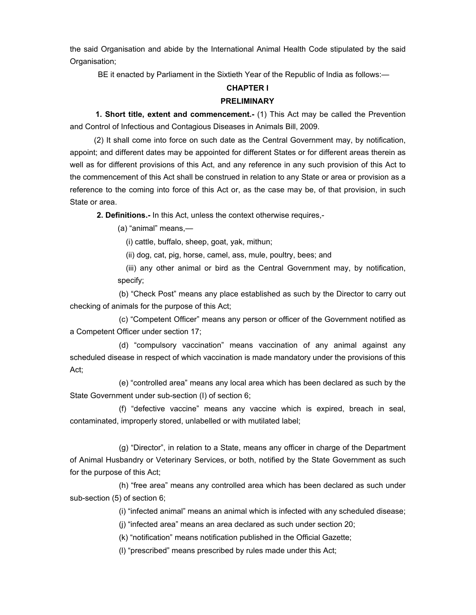the said Organisation and abide by the International Animal Health Code stipulated by the said Organisation:

BE it enacted by Parliament in the Sixtieth Year of the Republic of India as follows:—

# **CHAPTER I**

## **PRELIMINARY**

 **1. Short title, extent and commencement.-** (1) This Act may be called the Prevention and Control of Infectious and Contagious Diseases in Animals Bill, 2009.

 (2) It shall come into force on such date as the Central Government may, by notification, appoint; and different dates may be appointed for different States or for different areas therein as well as for different provisions of this Act, and any reference in any such provision of this Act to the commencement of this Act shall be construed in relation to any State or area or provision as a reference to the coming into force of this Act or, as the case may be, of that provision, in such State or area.

**2. Definitions.-** In this Act, unless the context otherwise requires,-

(a) "animal" means,—

(i) cattle, buffalo, sheep, goat, yak, mithun;

(ii) dog, cat, pig, horse, camel, ass, mule, poultry, bees; and

 (iii) any other animal or bird as the Central Government may, by notification, specify;

(b) "Check Post" means any place established as such by the Director to carry out checking of animals for the purpose of this Act;

(c) "Competent Officer" means any person or officer of the Government notified as a Competent Officer under section 17;

(d) "compulsory vaccination" means vaccination of any animal against any scheduled disease in respect of which vaccination is made mandatory under the provisions of this Act;

(e) "controlled area" means any local area which has been declared as such by the State Government under sub-section (I) of section 6;

(f) "defective vaccine" means any vaccine which is expired, breach in seal, contaminated, improperly stored, unlabelled or with mutilated label;

(g) "Director", in relation to a State, means any officer in charge of the Department of Animal Husbandry or Veterinary Services, or both, notified by the State Government as such for the purpose of this Act;

(h) "free area" means any controlled area which has been declared as such under sub-section (5) of section 6;

(i) "infected animal" means an animal which is infected with any scheduled disease;

(j) "infected area" means an area declared as such under section 20;

(k) "notification" means notification published in the Official Gazette;

(l) "prescribed" means prescribed by rules made under this Act;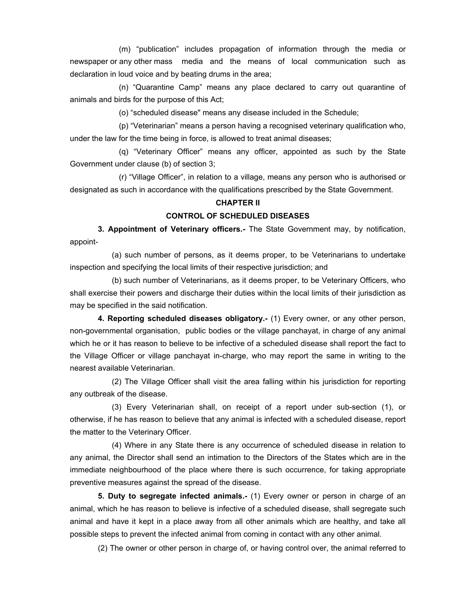(m) "publication" includes propagation of information through the media or newspaper or any other mass media and the means of local communication such as declaration in loud voice and by beating drums in the area;

(n) "Quarantine Camp" means any place declared to carry out quarantine of animals and birds for the purpose of this Act;

(o) "scheduled disease" means any disease included in the Schedule;

(p) "Veterinarian" means a person having a recognised veterinary qualification who, under the law for the time being in force, is allowed to treat animal diseases;

(q) "Veterinary Officer" means any officer, appointed as such by the State Government under clause (b) of section 3;

(r) "Village Officer", in relation to a village, means any person who is authorised or designated as such in accordance with the qualifications prescribed by the State Government.

#### **CHAPTER II**

### **CONTROL OF SCHEDULED DISEASES**

 **3. Appointment of Veterinary officers.-** The State Government may, by notification, appoint-

(a) such number of persons, as it deems proper, to be Veterinarians to undertake inspection and specifying the local limits of their respective jurisdiction; and

(b) such number of Veterinarians, as it deems proper, to be Veterinary Officers, who shall exercise their powers and discharge their duties within the local limits of their jurisdiction as may be specified in the said notification.

**4. Reporting scheduled diseases obligatory.-** (1) Every owner, or any other person, non-governmental organisation, public bodies or the village panchayat, in charge of any animal which he or it has reason to believe to be infective of a scheduled disease shall report the fact to the Village Officer or village panchayat in-charge, who may report the same in writing to the nearest available Veterinarian.

 (2) The Village Officer shall visit the area falling within his jurisdiction for reporting any outbreak of the disease.

 (3) Every Veterinarian shall, on receipt of a report under sub-section (1), or otherwise, if he has reason to believe that any animal is infected with a scheduled disease, report the matter to the Veterinary Officer.

 (4) Where in any State there is any occurrence of scheduled disease in relation to any animal, the Director shall send an intimation to the Directors of the States which are in the immediate neighbourhood of the place where there is such occurrence, for taking appropriate preventive measures against the spread of the disease.

 **5. Duty to segregate infected animals.-** (1) Every owner or person in charge of an animal, which he has reason to believe is infective of a scheduled disease, shall segregate such animal and have it kept in a place away from all other animals which are healthy, and take all possible steps to prevent the infected animal from coming in contact with any other animal.

(2) The owner or other person in charge of, or having control over, the animal referred to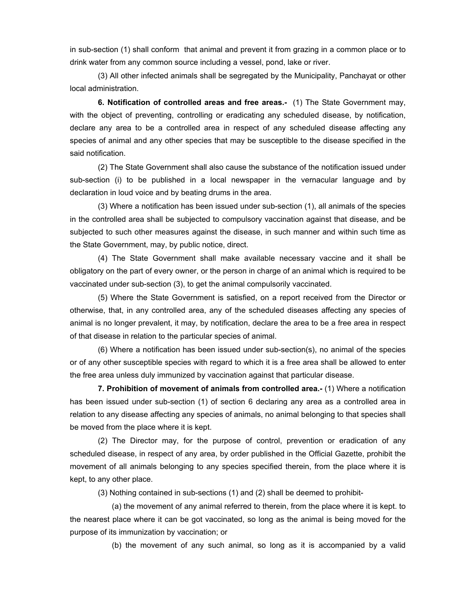in sub-section (1) shall conform that animal and prevent it from grazing in a common place or to drink water from any common source including a vessel, pond, lake or river.

 (3) All other infected animals shall be segregated by the Municipality, Panchayat or other local administration.

 **6. Notification of controlled areas and free areas.-** (1) The State Government may, with the object of preventing, controlling or eradicating any scheduled disease, by notification, declare any area to be a controlled area in respect of any scheduled disease affecting any species of animal and any other species that may be susceptible to the disease specified in the said notification.

(2) The State Government shall also cause the substance of the notification issued under sub-section (i) to be published in a local newspaper in the vernacular language and by declaration in loud voice and by beating drums in the area.

 (3) Where a notification has been issued under sub-section (1), all animals of the species in the controlled area shall be subjected to compulsory vaccination against that disease, and be subjected to such other measures against the disease, in such manner and within such time as the State Government, may, by public notice, direct.

 (4) The State Government shall make available necessary vaccine and it shall be obligatory on the part of every owner, or the person in charge of an animal which is required to be vaccinated under sub-section (3), to get the animal compulsorily vaccinated.

 (5) Where the State Government is satisfied, on a report received from the Director or otherwise, that, in any controlled area, any of the scheduled diseases affecting any species of animal is no longer prevalent, it may, by notification, declare the area to be a free area in respect of that disease in relation to the particular species of animal.

 (6) Where a notification has been issued under sub-section(s), no animal of the species or of any other susceptible species with regard to which it is a free area shall be allowed to enter the free area unless duly immunized by vaccination against that particular disease.

 **7. Prohibition of movement of animals from controlled area.-** (1) Where a notification has been issued under sub-section (1) of section 6 declaring any area as a controlled area in relation to any disease affecting any species of animals, no animal belonging to that species shall be moved from the place where it is kept.

 (2) The Director may, for the purpose of control, prevention or eradication of any scheduled disease, in respect of any area, by order published in the Official Gazette, prohibit the movement of all animals belonging to any species specified therein, from the place where it is kept, to any other place.

(3) Nothing contained in sub-sections (1) and (2) shall be deemed to prohibit-

(a) the movement of any animal referred to therein, from the place where it is kept. to the nearest place where it can be got vaccinated, so long as the animal is being moved for the purpose of its immunization by vaccination; or

(b) the movement of any such animal, so long as it is accompanied by a valid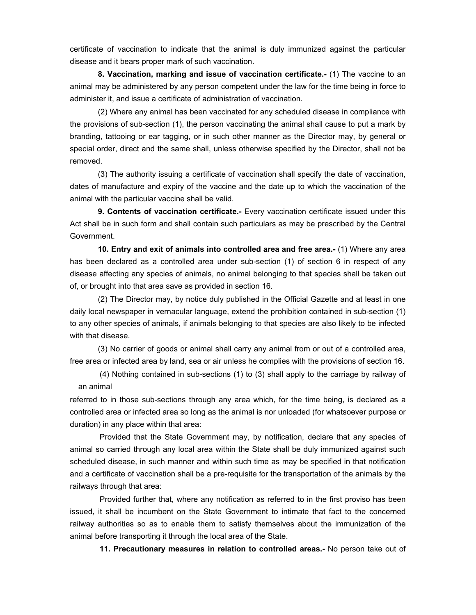certificate of vaccination to indicate that the animal is duly immunized against the particular disease and it bears proper mark of such vaccination.

**8. Vaccination, marking and issue of vaccination certificate.-** (1) The vaccine to an animal may be administered by any person competent under the law for the time being in force to administer it, and issue a certificate of administration of vaccination.

 (2) Where any animal has been vaccinated for any scheduled disease in compliance with the provisions of sub-section (1), the person vaccinating the animal shall cause to put a mark by branding, tattooing or ear tagging, or in such other manner as the Director may, by general or special order, direct and the same shall, unless otherwise specified by the Director, shall not be removed.

 (3) The authority issuing a certificate of vaccination shall specify the date of vaccination, dates of manufacture and expiry of the vaccine and the date up to which the vaccination of the animal with the particular vaccine shall be valid.

 **9. Contents of vaccination certificate.-** Every vaccination certificate issued under this Act shall be in such form and shall contain such particulars as may be prescribed by the Central Government.

 **10. Entry and exit of animals into controlled area and free area.-** (1) Where any area has been declared as a controlled area under sub-section (1) of section 6 in respect of any disease affecting any species of animals, no animal belonging to that species shall be taken out of, or brought into that area save as provided in section 16.

 (2) The Director may, by notice duly published in the Official Gazette and at least in one daily local newspaper in vernacular language, extend the prohibition contained in sub-section (1) to any other species of animals, if animals belonging to that species are also likely to be infected with that disease.

 (3) No carrier of goods or animal shall carry any animal from or out of a controlled area, free area or infected area by land, sea or air unless he complies with the provisions of section 16.

 (4) Nothing contained in sub-sections (1) to (3) shall apply to the carriage by railway of an animal

referred to in those sub-sections through any area which, for the time being, is declared as a controlled area or infected area so long as the animal is nor unloaded (for whatsoever purpose or duration) in any place within that area:

 Provided that the State Government may, by notification, declare that any species of animal so carried through any local area within the State shall be duly immunized against such scheduled disease, in such manner and within such time as may be specified in that notification and a certificate of vaccination shall be a pre-requisite for the transportation of the animals by the railways through that area:

 Provided further that, where any notification as referred to in the first proviso has been issued, it shall be incumbent on the State Government to intimate that fact to the concerned railway authorities so as to enable them to satisfy themselves about the immunization of the animal before transporting it through the local area of the State.

**11. Precautionary measures in relation to controlled areas.-** No person take out of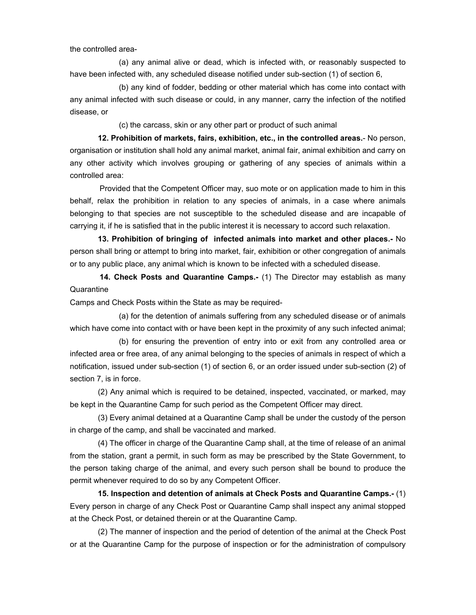the controlled area-

(a) any animal alive or dead, which is infected with, or reasonably suspected to have been infected with, any scheduled disease notified under sub-section (1) of section 6,

(b) any kind of fodder, bedding or other material which has come into contact with any animal infected with such disease or could, in any manner, carry the infection of the notified disease, or

(c) the carcass, skin or any other part or product of such animal

**12. Prohibition of markets, fairs, exhibition, etc., in the controlled areas.**- No person, organisation or institution shall hold any animal market, animal fair, animal exhibition and carry on any other activity which involves grouping or gathering of any species of animals within a controlled area:

 Provided that the Competent Officer may, suo mote or on application made to him in this behalf, relax the prohibition in relation to any species of animals, in a case where animals belonging to that species are not susceptible to the scheduled disease and are incapable of carrying it, if he is satisfied that in the public interest it is necessary to accord such relaxation.

**13. Prohibition of bringing of infected animals into market and other places.-** No person shall bring or attempt to bring into market, fair, exhibition or other congregation of animals or to any public place, any animal which is known to be infected with a scheduled disease.

**14. Check Posts and Quarantine Camps.-** (1) The Director may establish as many **Quarantine** 

Camps and Check Posts within the State as may be required-

(a) for the detention of animals suffering from any scheduled disease or of animals which have come into contact with or have been kept in the proximity of any such infected animal;

(b) for ensuring the prevention of entry into or exit from any controlled area or infected area or free area, of any animal belonging to the species of animals in respect of which a notification, issued under sub-section (1) of section 6, or an order issued under sub-section (2) of section 7, is in force.

(2) Any animal which is required to be detained, inspected, vaccinated, or marked, may be kept in the Quarantine Camp for such period as the Competent Officer may direct.

(3) Every animal detained at a Quarantine Camp shall be under the custody of the person in charge of the camp, and shall be vaccinated and marked.

(4) The officer in charge of the Quarantine Camp shall, at the time of release of an animal from the station, grant a permit, in such form as may be prescribed by the State Government, to the person taking charge of the animal, and every such person shall be bound to produce the permit whenever required to do so by any Competent Officer.

 **15. Inspection and detention of animals at Check Posts and Quarantine Camps.-** (1) Every person in charge of any Check Post or Quarantine Camp shall inspect any animal stopped at the Check Post, or detained therein or at the Quarantine Camp.

 (2) The manner of inspection and the period of detention of the animal at the Check Post or at the Quarantine Camp for the purpose of inspection or for the administration of compulsory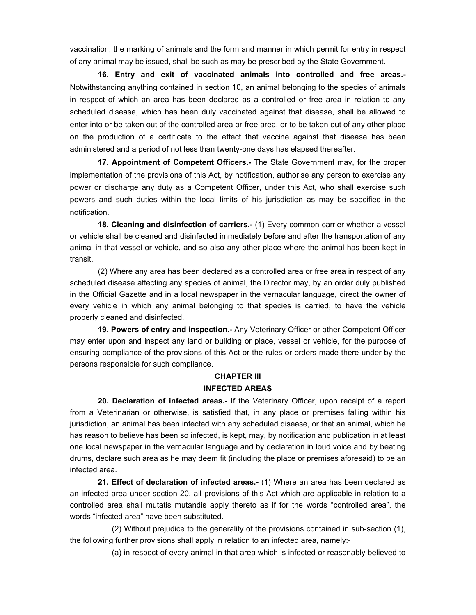vaccination, the marking of animals and the form and manner in which permit for entry in respect of any animal may be issued, shall be such as may be prescribed by the State Government.

 **16. Entry and exit of vaccinated animals into controlled and free areas.-** Notwithstanding anything contained in section 10, an animal belonging to the species of animals in respect of which an area has been declared as a controlled or free area in relation to any scheduled disease, which has been duly vaccinated against that disease, shall be allowed to enter into or be taken out of the controlled area or free area, or to be taken out of any other place on the production of a certificate to the effect that vaccine against that disease has been administered and a period of not less than twenty-one days has elapsed thereafter.

**17. Appointment of Competent Officers.-** The State Government may, for the proper implementation of the provisions of this Act, by notification, authorise any person to exercise any power or discharge any duty as a Competent Officer, under this Act, who shall exercise such powers and such duties within the local limits of his jurisdiction as may be specified in the notification.

**18. Cleaning and disinfection of carriers.-** (1) Every common carrier whether a vessel or vehicle shall be cleaned and disinfected immediately before and after the transportation of any animal in that vessel or vehicle, and so also any other place where the animal has been kept in transit.

(2) Where any area has been declared as a controlled area or free area in respect of any scheduled disease affecting any species of animal, the Director may, by an order duly published in the Official Gazette and in a local newspaper in the vernacular language, direct the owner of every vehicle in which any animal belonging to that species is carried, to have the vehicle properly cleaned and disinfected.

**19. Powers of entry and inspection.-** Any Veterinary Officer or other Competent Officer may enter upon and inspect any land or building or place, vessel or vehicle, for the purpose of ensuring compliance of the provisions of this Act or the rules or orders made there under by the persons responsible for such compliance.

# **CHAPTER III INFECTED AREAS**

**20. Declaration of infected areas.-** If the Veterinary Officer, upon receipt of a report from a Veterinarian or otherwise, is satisfied that, in any place or premises falling within his jurisdiction, an animal has been infected with any scheduled disease, or that an animal, which he has reason to believe has been so infected, is kept, may, by notification and publication in at least one local newspaper in the vernacular language and by declaration in loud voice and by beating drums, declare such area as he may deem fit (including the place or premises aforesaid) to be an infected area.

**21. Effect of declaration of infected areas.-** (1) Where an area has been declared as an infected area under section 20, all provisions of this Act which are applicable in relation to a controlled area shall mutatis mutandis apply thereto as if for the words "controlled area", the words "infected area" have been substituted.

(2) Without prejudice to the generality of the provisions contained in sub-section (1), the following further provisions shall apply in relation to an infected area, namely:-

(a) in respect of every animal in that area which is infected or reasonably believed to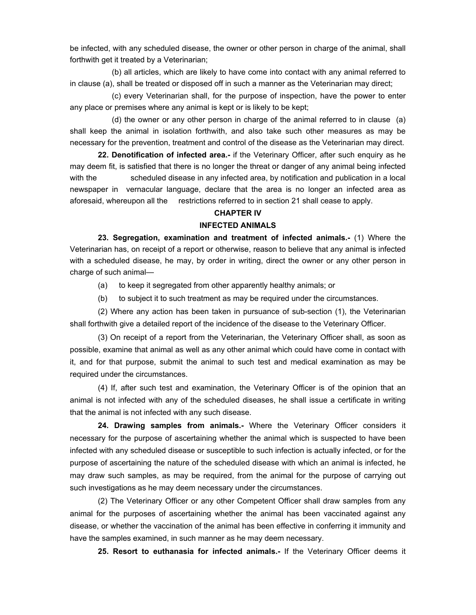be infected, with any scheduled disease, the owner or other person in charge of the animal, shall forthwith get it treated by a Veterinarian;

(b) all articles, which are likely to have come into contact with any animal referred to in clause (a), shall be treated or disposed off in such a manner as the Veterinarian may direct;

(c) every Veterinarian shall, for the purpose of inspection, have the power to enter any place or premises where any animal is kept or is likely to be kept;

(d) the owner or any other person in charge of the animal referred to in clause (a) shall keep the animal in isolation forthwith, and also take such other measures as may be necessary for the prevention, treatment and control of the disease as the Veterinarian may direct.

**22. Denotification of infected area.-** if the Veterinary Officer, after such enquiry as he may deem fit, is satisfied that there is no longer the threat or danger of any animal being infected with the scheduled disease in any infected area, by notification and publication in a local newspaper in vernacular language, declare that the area is no longer an infected area as aforesaid, whereupon all the restrictions referred to in section 21 shall cease to apply.

# **CHAPTER IV**

#### **INFECTED ANIMALS**

**23. Segregation, examination and treatment of infected animals.-** (1) Where the Veterinarian has, on receipt of a report or otherwise, reason to believe that any animal is infected with a scheduled disease, he may, by order in writing, direct the owner or any other person in charge of such animal—

(a) to keep it segregated from other apparently healthy animals; or

(b) to subject it to such treatment as may be required under the circumstances.

(2) Where any action has been taken in pursuance of sub-section (1), the Veterinarian shall forthwith give a detailed report of the incidence of the disease to the Veterinary Officer.

(3) On receipt of a report from the Veterinarian, the Veterinary Officer shall, as soon as possible, examine that animal as well as any other animal which could have come in contact with it, and for that purpose, submit the animal to such test and medical examination as may be required under the circumstances.

(4) If, after such test and examination, the Veterinary Officer is of the opinion that an animal is not infected with any of the scheduled diseases, he shall issue a certificate in writing that the animal is not infected with any such disease.

**24. Drawing samples from animals.-** Where the Veterinary Officer considers it necessary for the purpose of ascertaining whether the animal which is suspected to have been infected with any scheduled disease or susceptible to such infection is actually infected, or for the purpose of ascertaining the nature of the scheduled disease with which an animal is infected, he may draw such samples, as may be required, from the animal for the purpose of carrying out such investigations as he may deem necessary under the circumstances.

(2) The Veterinary Officer or any other Competent Officer shall draw samples from any animal for the purposes of ascertaining whether the animal has been vaccinated against any disease, or whether the vaccination of the animal has been effective in conferring it immunity and have the samples examined, in such manner as he may deem necessary.

**25. Resort to euthanasia for infected animals.-** If the Veterinary Officer deems it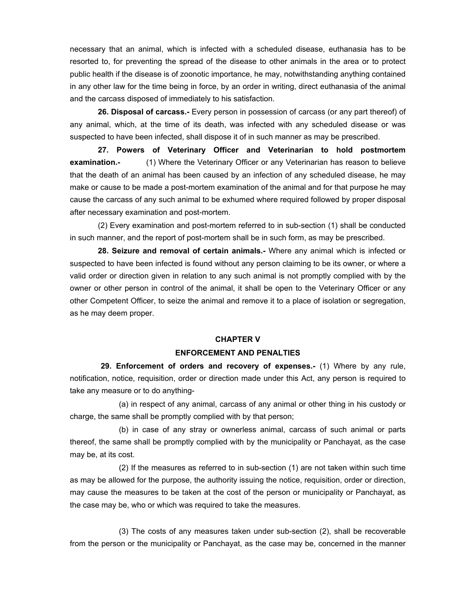necessary that an animal, which is infected with a scheduled disease, euthanasia has to be resorted to, for preventing the spread of the disease to other animals in the area or to protect public health if the disease is of zoonotic importance, he may, notwithstanding anything contained in any other law for the time being in force, by an order in writing, direct euthanasia of the animal and the carcass disposed of immediately to his satisfaction.

**26. Disposal of carcass.-** Every person in possession of carcass (or any part thereof) of any animal, which, at the time of its death, was infected with any scheduled disease or was suspected to have been infected, shall dispose it of in such manner as may be prescribed.

**27. Powers of Veterinary Officer and Veterinarian to hold postmortem examination.-** (1) Where the Veterinary Officer or any Veterinarian has reason to believe that the death of an animal has been caused by an infection of any scheduled disease, he may make or cause to be made a post-mortem examination of the animal and for that purpose he may cause the carcass of any such animal to be exhumed where required followed by proper disposal after necessary examination and post-mortem.

(2) Every examination and post-mortem referred to in sub-section (1) shall be conducted in such manner, and the report of post-mortem shall be in such form, as may be prescribed.

**28. Seizure and removal of certain animals.-** Where any animal which is infected or suspected to have been infected is found without any person claiming to be its owner, or where a valid order or direction given in relation to any such animal is not promptly complied with by the owner or other person in control of the animal, it shall be open to the Veterinary Officer or any other Competent Officer, to seize the animal and remove it to a place of isolation or segregation, as he may deem proper.

#### **CHAPTER V**

#### **ENFORCEMENT AND PENALTIES**

 **29. Enforcement of orders and recovery of expenses.-** (1) Where by any rule, notification, notice, requisition, order or direction made under this Act, any person is required to take any measure or to do anything-

(a) in respect of any animal, carcass of any animal or other thing in his custody or charge, the same shall be promptly complied with by that person;

(b) in case of any stray or ownerless animal, carcass of such animal or parts thereof, the same shall be promptly complied with by the municipality or Panchayat, as the case may be, at its cost.

(2) If the measures as referred to in sub-section (1) are not taken within such time as may be allowed for the purpose, the authority issuing the notice, requisition, order or direction, may cause the measures to be taken at the cost of the person or municipality or Panchayat, as the case may be, who or which was required to take the measures.

(3) The costs of any measures taken under sub-section (2), shall be recoverable from the person or the municipality or Panchayat, as the case may be, concerned in the manner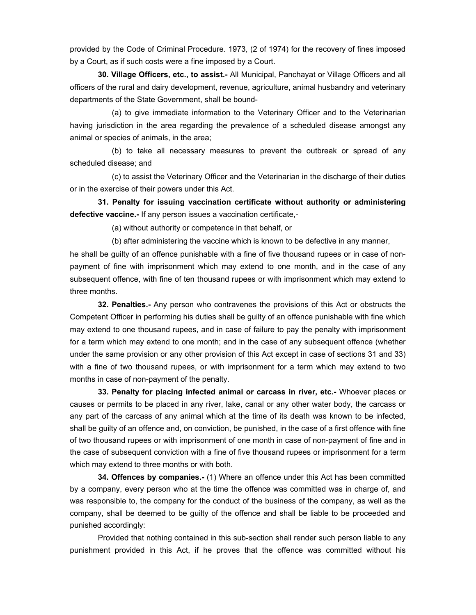provided by the Code of Criminal Procedure. 1973, (2 of 1974) for the recovery of fines imposed by a Court, as if such costs were a fine imposed by a Court.

**30. Village Officers, etc., to assist.-** All Municipal, Panchayat or Village Officers and all officers of the rural and dairy development, revenue, agriculture, animal husbandry and veterinary departments of the State Government, shall be bound-

(a) to give immediate information to the Veterinary Officer and to the Veterinarian having jurisdiction in the area regarding the prevalence of a scheduled disease amongst any animal or species of animals, in the area;

(b) to take all necessary measures to prevent the outbreak or spread of any scheduled disease; and

(c) to assist the Veterinary Officer and the Veterinarian in the discharge of their duties or in the exercise of their powers under this Act.

**31. Penalty for issuing vaccination certificate without authority or administering defective vaccine.-** If any person issues a vaccination certificate,-

(a) without authority or competence in that behalf, or

(b) after administering the vaccine which is known to be defective in any manner,

he shall be guilty of an offence punishable with a fine of five thousand rupees or in case of nonpayment of fine with imprisonment which may extend to one month, and in the case of any subsequent offence, with fine of ten thousand rupees or with imprisonment which may extend to three months.

**32. Penalties.-** Any person who contravenes the provisions of this Act or obstructs the Competent Officer in performing his duties shall be guilty of an offence punishable with fine which may extend to one thousand rupees, and in case of failure to pay the penalty with imprisonment for a term which may extend to one month; and in the case of any subsequent offence (whether under the same provision or any other provision of this Act except in case of sections 31 and 33) with a fine of two thousand rupees, or with imprisonment for a term which may extend to two months in case of non-payment of the penalty.

**33. Penalty for placing infected animal or carcass in river, etc.-** Whoever places or causes or permits to be placed in any river, lake, canal or any other water body, the carcass or any part of the carcass of any animal which at the time of its death was known to be infected, shall be guilty of an offence and, on conviction, be punished, in the case of a first offence with fine of two thousand rupees or with imprisonment of one month in case of non-payment of fine and in the case of subsequent conviction with a fine of five thousand rupees or imprisonment for a term which may extend to three months or with both.

**34. Offences by companies.-** (1) Where an offence under this Act has been committed by a company, every person who at the time the offence was committed was in charge of, and was responsible to, the company for the conduct of the business of the company, as well as the company, shall be deemed to be guilty of the offence and shall be liable to be proceeded and punished accordingly:

Provided that nothing contained in this sub-section shall render such person liable to any punishment provided in this Act, if he proves that the offence was committed without his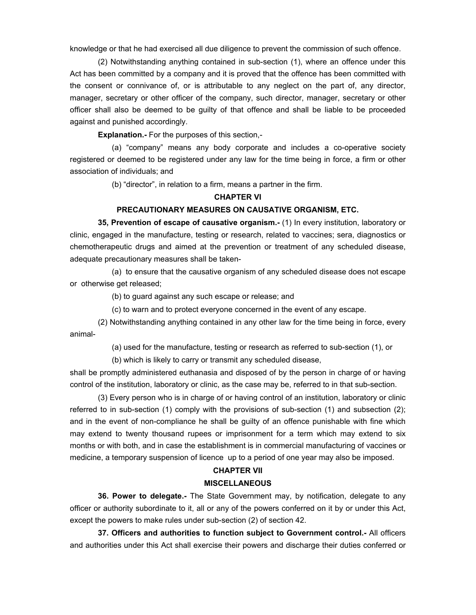knowledge or that he had exercised all due diligence to prevent the commission of such offence.

(2) Notwithstanding anything contained in sub-section (1), where an offence under this Act has been committed by a company and it is proved that the offence has been committed with the consent or connivance of, or is attributable to any neglect on the part of, any director, manager, secretary or other officer of the company, such director, manager, secretary or other officer shall also be deemed to be guilty of that offence and shall be liable to be proceeded against and punished accordingly.

**Explanation.-** For the purposes of this section,-

(a) "company" means any body corporate and includes a co-operative society registered or deemed to be registered under any law for the time being in force, a firm or other association of individuals; and

(b) "director", in relation to a firm, means a partner in the firm.

#### **CHAPTER VI**

# **PRECAUTIONARY MEASURES ON CAUSATIVE ORGANISM, ETC.**

**35, Prevention of escape of causative organism.-** (1) In every institution, laboratory or clinic, engaged in the manufacture, testing or research, related to vaccines; sera, diagnostics or chemotherapeutic drugs and aimed at the prevention or treatment of any scheduled disease, adequate precautionary measures shall be taken-

(a) to ensure that the causative organism of any scheduled disease does not escape or otherwise get released;

(b) to guard against any such escape or release; and

(c) to warn and to protect everyone concerned in the event of any escape.

(2) Notwithstanding anything contained in any other law for the time being in force, every animal-

(a) used for the manufacture, testing or research as referred to sub-section (1), or

(b) which is likely to carry or transmit any scheduled disease,

shall be promptly administered euthanasia and disposed of by the person in charge of or having control of the institution, laboratory or clinic, as the case may be, referred to in that sub-section.

(3) Every person who is in charge of or having control of an institution, laboratory or clinic referred to in sub-section (1) comply with the provisions of sub-section (1) and subsection (2); and in the event of non-compliance he shall be guilty of an offence punishable with fine which may extend to twenty thousand rupees or imprisonment for a term which may extend to six months or with both, and in case the establishment is in commercial manufacturing of vaccines or medicine, a temporary suspension of licence up to a period of one year may also be imposed.

#### **CHAPTER VII**

#### **MISCELLANEOUS**

**36. Power to delegate.-** The State Government may, by notification, delegate to any officer or authority subordinate to it, all or any of the powers conferred on it by or under this Act, except the powers to make rules under sub-section (2) of section 42.

**37. Officers and authorities to function subject to Government control.-** All officers and authorities under this Act shall exercise their powers and discharge their duties conferred or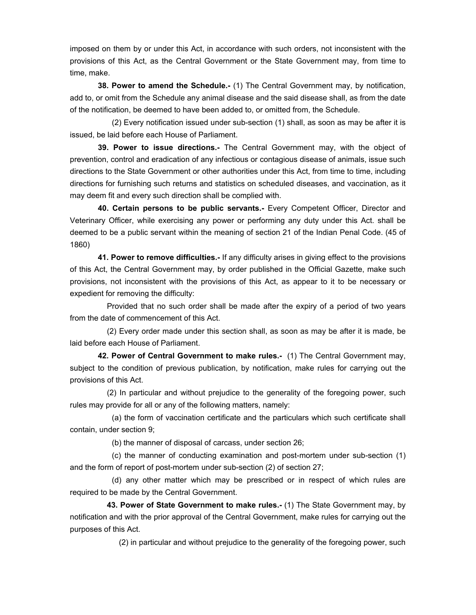imposed on them by or under this Act, in accordance with such orders, not inconsistent with the provisions of this Act, as the Central Government or the State Government may, from time to time, make.

**38. Power to amend the Schedule.-** (1) The Central Government may, by notification, add to, or omit from the Schedule any animal disease and the said disease shall, as from the date of the notification, be deemed to have been added to, or omitted from, the Schedule.

(2) Every notification issued under sub-section (1) shall, as soon as may be after it is issued, be laid before each House of Parliament.

**39. Power to issue directions.-** The Central Government may, with the object of prevention, control and eradication of any infectious or contagious disease of animals, issue such directions to the State Government or other authorities under this Act, from time to time, including directions for furnishing such returns and statistics on scheduled diseases, and vaccination, as it may deem fit and every such direction shall be complied with.

**40. Certain persons to be public servants.-** Every Competent Officer, Director and Veterinary Officer, while exercising any power or performing any duty under this Act. shall be deemed to be a public servant within the meaning of section 21 of the Indian Penal Code. (45 of 1860)

**41. Power to remove difficulties.-** If any difficulty arises in giving effect to the provisions of this Act, the Central Government may, by order published in the Official Gazette, make such provisions, not inconsistent with the provisions of this Act, as appear to it to be necessary or expedient for removing the difficulty:

 Provided that no such order shall be made after the expiry of a period of two years from the date of commencement of this Act.

 (2) Every order made under this section shall, as soon as may be after it is made, be laid before each House of Parliament.

**42. Power of Central Government to make rules.-** (1) The Central Government may, subject to the condition of previous publication, by notification, make rules for carrying out the provisions of this Act.

 (2) In particular and without prejudice to the generality of the foregoing power, such rules may provide for all or any of the following matters, namely:

(a) the form of vaccination certificate and the particulars which such certificate shall contain, under section 9;

(b) the manner of disposal of carcass, under section 26;

(c) the manner of conducting examination and post-mortem under sub-section (1) and the form of report of post-mortem under sub-section (2) of section 27;

(d) any other matter which may be prescribed or in respect of which rules are required to be made by the Central Government.

**43. Power of State Government to make rules.-** (1) The State Government may, by notification and with the prior approval of the Central Government, make rules for carrying out the purposes of this Act.

(2) in particular and without prejudice to the generality of the foregoing power, such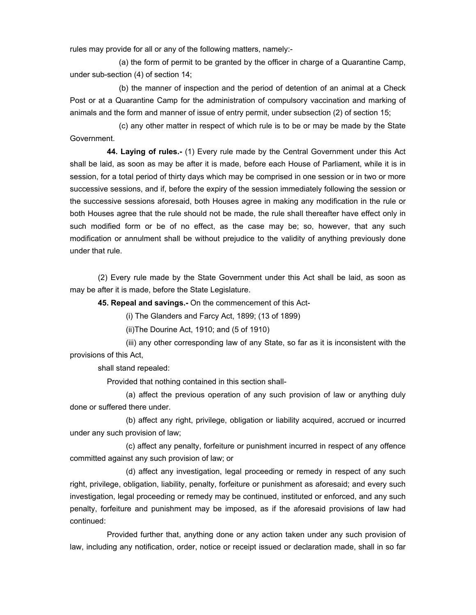rules may provide for all or any of the following matters, namely:-

(a) the form of permit to be granted by the officer in charge of a Quarantine Camp, under sub-section (4) of section 14;

(b) the manner of inspection and the period of detention of an animal at a Check Post or at a Quarantine Camp for the administration of compulsory vaccination and marking of animals and the form and manner of issue of entry permit, under subsection (2) of section 15;

(c) any other matter in respect of which rule is to be or may be made by the State Government.

**44. Laying of rules.-** (1) Every rule made by the Central Government under this Act shall be laid, as soon as may be after it is made, before each House of Parliament, while it is in session, for a total period of thirty days which may be comprised in one session or in two or more successive sessions, and if, before the expiry of the session immediately following the session or the successive sessions aforesaid, both Houses agree in making any modification in the rule or both Houses agree that the rule should not be made, the rule shall thereafter have effect only in such modified form or be of no effect, as the case may be; so, however, that any such modification or annulment shall be without prejudice to the validity of anything previously done under that rule.

(2) Every rule made by the State Government under this Act shall be laid, as soon as may be after it is made, before the State Legislature.

**45. Repeal and savings.-** On the commencement of this Act-

(i) The Glanders and Farcy Act, 1899; (13 of 1899)

(ii)The Dourine Act, 1910; and (5 of 1910)

 (iii) any other corresponding law of any State, so far as it is inconsistent with the provisions of this Act,

shall stand repealed:

Provided that nothing contained in this section shall-

(a) affect the previous operation of any such provision of law or anything duly done or suffered there under.

(b) affect any right, privilege, obligation or liability acquired, accrued or incurred under any such provision of law;

(c) affect any penalty, forfeiture or punishment incurred in respect of any offence committed against any such provision of law; or

(d) affect any investigation, legal proceeding or remedy in respect of any such right, privilege, obligation, liability, penalty, forfeiture or punishment as aforesaid; and every such investigation, legal proceeding or remedy may be continued, instituted or enforced, and any such penalty, forfeiture and punishment may be imposed, as if the aforesaid provisions of law had continued:

 Provided further that, anything done or any action taken under any such provision of law, including any notification, order, notice or receipt issued or declaration made, shall in so far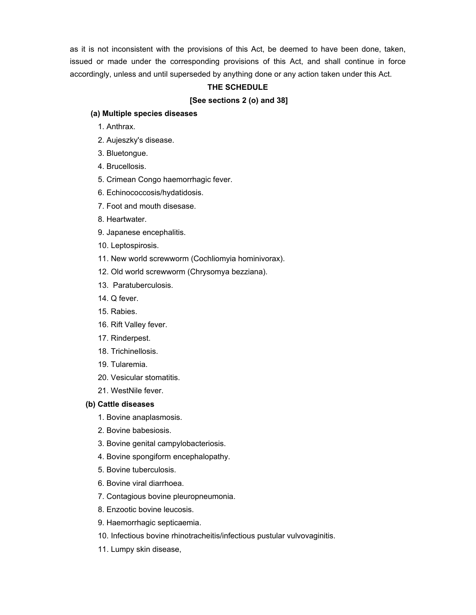as it is not inconsistent with the provisions of this Act, be deemed to have been done, taken, issued or made under the corresponding provisions of this Act, and shall continue in force accordingly, unless and until superseded by anything done or any action taken under this Act.

# **THE SCHEDULE**

# **[See sections 2 (o) and 38]**

### **(a) Multiple species diseases**

- 1. Anthrax.
- 2. Aujeszky's disease.
- 3. Bluetongue.
- 4. Brucellosis.
- 5. Crimean Congo haemorrhagic fever.
- 6. Echinococcosis/hydatidosis.
- 7. Foot and mouth disesase.
- 8. Heartwater.
- 9. Japanese encephalitis.
- 10. Leptospirosis.
- 11. New world screwworm (Cochliomyia hominivorax).
- 12. Old world screwworm (Chrysomya bezziana).
- 13. Paratuberculosis.
- 14. Q fever.
- 15. Rabies.
- 16. Rift Valley fever.
- 17. Rinderpest.
- 18. Trichinellosis.
- 19. Tularemia.
- 20. Vesicular stomatitis.
- 21. WestNile fever.

#### **(b) Cattle diseases**

- 1. Bovine anaplasmosis.
- 2. Bovine babesiosis.
- 3. Bovine genital campylobacteriosis.
- 4. Bovine spongiform encephalopathy.
- 5. Bovine tuberculosis.
- 6. Bovine viral diarrhoea.
- 7. Contagious bovine pleuropneumonia.
- 8. Enzootic bovine leucosis.
- 9. Haemorrhagic septicaemia.
- 10. Infectious bovine rhinotracheitis/infectious pustular vulvovaginitis.
- 11. Lumpy skin disease,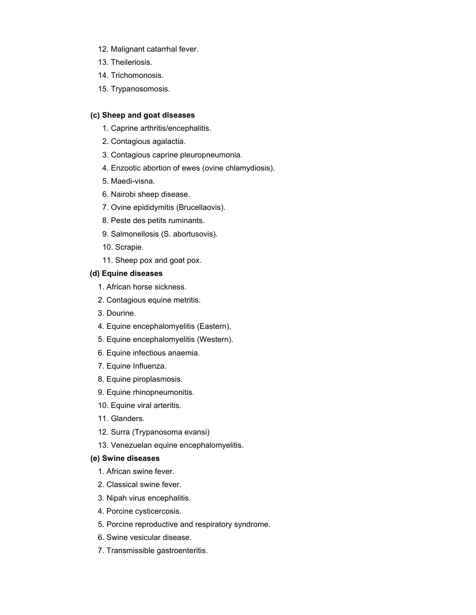- 12. Malignant catarrhal fever.
- 13. Theileriosis.
- 14. Trichomonosis.
- 15. Trypanosomosis.

## **(c) Sheep and goat diseases**

- 1. Caprine arthritis/encephalitis.
- 2. Contagious agalactia.
- 3. Contagious caprine pleuropneumonia.
- 4. Enzootic abortion of ewes (ovine chlamydiosis).
- 5. Maedi-visna.
- 6. Nairobi sheep disease.
- 7. Ovine epididymitis (Brucellaovis).
- 8. Peste des petits ruminants.
- 9. Salmonellosis (S. abortusovis).
- 10. Scrapie.
- 11. Sheep pox and goat pox.

# **(d) Equine diseases**

- 1. African horse sickness.
- 2. Contagious equine metritis.
- 3. Dourine.
- 4. Equine encephalomyelitis (Eastern),
- 5. Equine encephalomyelitis (Western).
- 6. Equine infectious anaemia.
- 7. Equine Influenza.
- 8. Equine piroplasmosis.
- 9. Equine rhinopneumonitis.
- 10. Equine viral arteritis.
- 11. Glanders.
- 12. Surra (Trypanosoma evansi)
- 13. Venezuelan equine encephalomyelitis.

## **(e) Swine diseases**

- 1. African swine fever.
- 2. Classical swine fever.
- 3. Nipah virus encephalitis.
- 4. Porcine cysticercosis.
- 5. Porcine reproductive and respiratory syndrome.
- 6. Swine vesicular disease.
- 7. Transmissible gastroenteritis.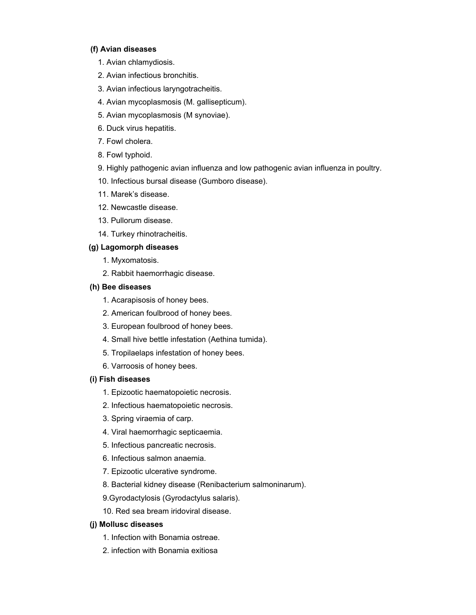# **(f) Avian diseases**

- 1. Avian chlamydiosis.
- 2. Avian infectious bronchitis.
- 3. Avian infectious laryngotracheitis.
- 4. Avian mycoplasmosis (M. gallisepticum).
- 5. Avian mycoplasmosis (M synoviae).
- 6. Duck virus hepatitis.
- 7. Fowl cholera.
- 8. Fowl typhoid.
- 9. Highly pathogenic avian influenza and low pathogenic avian influenza in poultry.
- 10. Infectious bursal disease (Gumboro disease).
- 11. Marek's disease.
- 12. Newcastle disease.
- 13. Pullorum disease.
- 14. Turkey rhinotracheitis.

# **(g) Lagomorph diseases**

- 1. Myxomatosis.
- 2. Rabbit haemorrhagic disease.

# **(h) Bee diseases**

- 1. Acarapisosis of honey bees.
- 2. American foulbrood of honey bees.
- 3. European foulbrood of honey bees.
- 4. Small hive bettle infestation (Aethina tumida).
- 5. Tropilaelaps infestation of honey bees.
- 6. Varroosis of honey bees.

### **(i) Fish diseases**

- 1. Epizootic haematopoietic necrosis.
- 2. Infectious haematopoietic necrosis.
- 3. Spring viraemia of carp.
- 4. Viral haemorrhagic septicaemia.
- 5. Infectious pancreatic necrosis.
- 6. Infectious salmon anaemia.
- 7. Epizootic ulcerative syndrome.
- 8. Bacterial kidney disease (Renibacterium salmoninarum).
- 9.Gyrodactylosis (Gyrodactylus salaris).
- 10. Red sea bream iridoviral disease.

### **(j) Mollusc diseases**

- 1. Infection with Bonamia ostreae.
- 2. infection with Bonamia exitiosa